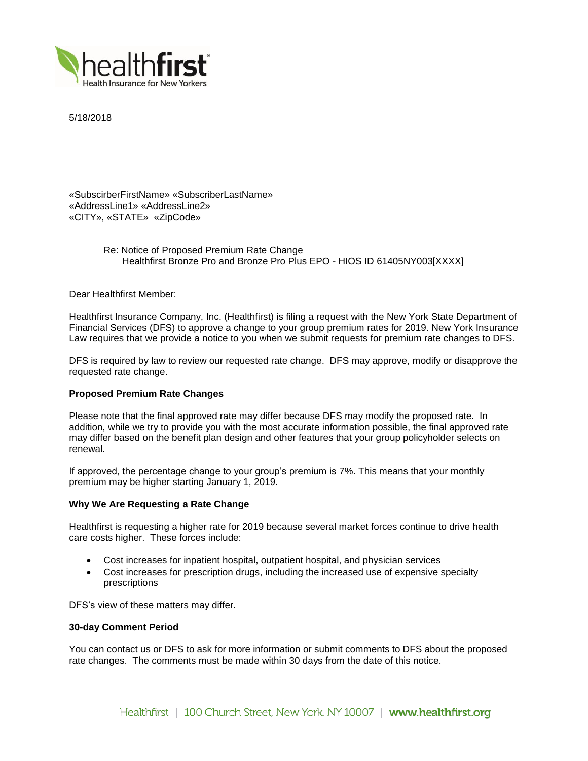

5/18/2018

«SubscirberFirstName» «SubscriberLastName» «AddressLine1» «AddressLine2» «CITY», «STATE» «ZipCode»

> Re: Notice of Proposed Premium Rate Change Healthfirst Bronze Pro and Bronze Pro Plus EPO - HIOS ID 61405NY003[XXXX]

Dear Healthfirst Member:

Healthfirst Insurance Company, Inc. (Healthfirst) is filing a request with the New York State Department of Financial Services (DFS) to approve a change to your group premium rates for 2019. New York Insurance Law requires that we provide a notice to you when we submit requests for premium rate changes to DFS.

DFS is required by law to review our requested rate change. DFS may approve, modify or disapprove the requested rate change.

# **Proposed Premium Rate Changes**

Please note that the final approved rate may differ because DFS may modify the proposed rate. In addition, while we try to provide you with the most accurate information possible, the final approved rate may differ based on the benefit plan design and other features that your group policyholder selects on renewal.

If approved, the percentage change to your group's premium is 7%. This means that your monthly premium may be higher starting January 1, 2019.

## **Why We Are Requesting a Rate Change**

Healthfirst is requesting a higher rate for 2019 because several market forces continue to drive health care costs higher. These forces include:

- Cost increases for inpatient hospital, outpatient hospital, and physician services
- Cost increases for prescription drugs, including the increased use of expensive specialty prescriptions

DFS's view of these matters may differ.

### **30-day Comment Period**

You can contact us or DFS to ask for more information or submit comments to DFS about the proposed rate changes. The comments must be made within 30 days from the date of this notice.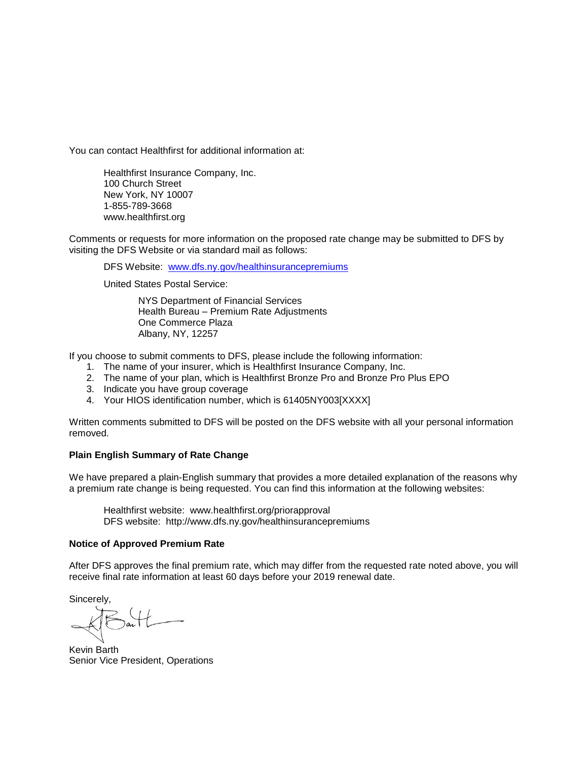You can contact Healthfirst for additional information at:

Healthfirst Insurance Company, Inc. 100 Church Street New York, NY 10007 1-855-789-3668 www.healthfirst.org

Comments or requests for more information on the proposed rate change may be submitted to DFS by visiting the DFS Website or via standard mail as follows:

DFS Website: [www.dfs.ny.gov/healthinsurancepremiums](http://www.dfs.ny.gov/healthinsurancepremiums)

United States Postal Service:

NYS Department of Financial Services Health Bureau – Premium Rate Adjustments One Commerce Plaza Albany, NY, 12257

If you choose to submit comments to DFS, please include the following information:

- 1. The name of your insurer, which is Healthfirst Insurance Company, Inc.
- 2. The name of your plan, which is Healthfirst Bronze Pro and Bronze Pro Plus EPO
- 3. Indicate you have group coverage
- 4. Your HIOS identification number, which is 61405NY003[XXXX]

Written comments submitted to DFS will be posted on the DFS website with all your personal information removed.

# **Plain English Summary of Rate Change**

We have prepared a plain-English summary that provides a more detailed explanation of the reasons why a premium rate change is being requested. You can find this information at the following websites:

Healthfirst website: www.healthfirst.org/priorapproval DFS website: http://www.dfs.ny.gov/healthinsurancepremiums

# **Notice of Approved Premium Rate**

After DFS approves the final premium rate, which may differ from the requested rate noted above, you will receive final rate information at least 60 days before your 2019 renewal date.

Sincerely,

Kevin Barth Senior Vice President, Operations